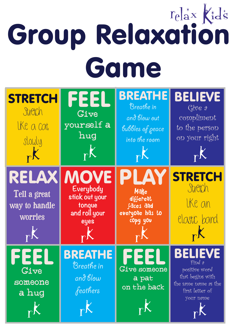## Group Relaxation Game

| <b>STRETCH</b><br>Stretch<br>like a cat<br>slowly<br>$\mathbf{r}$   | FEEI<br>Give<br>yourself a<br>hug<br>rK                                       | <b>BREATHE</b><br>Breathe in<br>and blow out<br>bubbles of peace<br>into the room<br>rK | <b>BELIEVE</b><br>$\bigcirc$ $\mathop{\mathrm{G}}\nolimits^{\circ}$ $\mathop{\mathrm{C}}\nolimits^{\circ}$ $\mathop{\mathrm{C}}\nolimits^{\circ}$<br>compliment<br>to the person<br>on your right<br>pK |
|---------------------------------------------------------------------|-------------------------------------------------------------------------------|-----------------------------------------------------------------------------------------|---------------------------------------------------------------------------------------------------------------------------------------------------------------------------------------------------------|
| RELAX<br>Tell a great<br>way to handle<br>worries<br>$\mathbb{R}^K$ | <b>MOVE</b><br>Everybody<br>stick out your<br>tonque<br>and roll your<br>eyes | PI<br><b>Make</b><br>different<br>faces and<br>everyone has to<br>copy you              | <b>STRETCH</b><br>Stretch<br>like an<br>elastic band<br>rK                                                                                                                                              |
| Give<br>someone<br>a hug                                            | Breathe in<br>and blow<br>feathers                                            | Give someone<br>a pat<br>on the back<br>$\mathsf{r}^\mathsf{K}$                         | Find 9<br>positive word<br>that begins with<br>the same name as the<br>first letter of<br>your name                                                                                                     |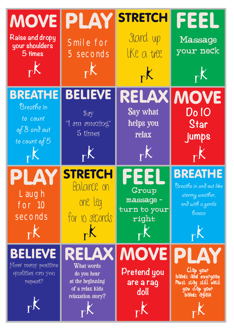| <b>MOVE PLAY</b><br>Raise and dropy<br>your shoulders<br>5 times<br>$\mathbb{R}^K$          | Smile for<br>5 seconds<br>rK                                                                          | <b>STRETCH</b><br>Stand up<br>like a tree<br>r <sup>K</sup>      | FEEL<br><b>Massage</b><br>your neck<br>r <sup>K</sup>                                                   |
|---------------------------------------------------------------------------------------------|-------------------------------------------------------------------------------------------------------|------------------------------------------------------------------|---------------------------------------------------------------------------------------------------------|
| <b>BREATHE</b><br>Breathe in<br>to count<br>of 3 and out<br>to count of $5$<br>$\mathbf{r}$ | <b>BELIEVE</b><br>$\mathcal{S}^{g}$<br>"I am amazing"<br>$5 \; \mathrm{times}$<br>$\mathbb{R}^K$      | RELAX<br><b>Say what</b><br>helps you<br>relax<br>$\mathbb{R}^K$ | <b>MOVE</b><br><b>Do 10</b><br>Star<br>jumps<br>$\mathbb{R}^k$                                          |
| Laugh<br>for 10<br>seconds<br>rK                                                            | <b>STRI</b><br>ETCH<br>Balance on<br>one leg<br>for 10 seconds<br>$\mathbf{r}$                        | Group<br>massage -<br>turn to your<br>right<br>$\mathsf{r}$      | Breathe in and out like<br>stormy weather,<br>end with a gentle<br>breeze<br>rK                         |
| <b>BELIEVE</b><br>How many positive<br>qualities can you<br>repeat?<br>$_{\rm P}$ K         | RELAX<br><b>What words</b><br>do you hear<br>at the beginning<br>of a relax kids<br>relaxation story? | <b>MOVEI</b><br><b>Pretend you</b><br>are a rag<br>doll          | PLAY<br>Clap your<br>hands and everyone<br><b>Must stay still until</b><br>you clap your<br>hands again |